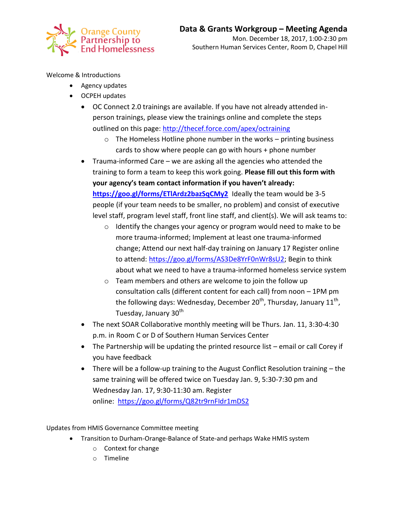

Welcome & Introductions

- Agency updates
- OCPEH updates
	- OC Connect 2.0 trainings are available. If you have not already attended inperson trainings, please view the trainings online and complete the steps outlined on this page:<http://thecef.force.com/apex/octraining>
		- o The Homeless Hotline phone number in the works printing business cards to show where people can go with hours + phone number
	- Trauma-informed Care we are asking all the agencies who attended the training to form a team to keep this work going. **Please fill out this form with your agency's team contact information if you haven't already:**  <https://goo.gl/forms/ETlArdz2bazSqCMy2> Ideally the team would be 3-5 people (if your team needs to be smaller, no problem) and consist of executive level staff, program level staff, front line staff, and client(s). We will ask teams to:
		- o Identify the changes your agency or program would need to make to be more trauma-informed; Implement at least one trauma-informed change; Attend our next half-day training on January 17 Register online to attend: [https://goo.gl/forms/AS3De8YrF0nWr8sU2;](https://goo.gl/forms/AS3De8YrF0nWr8sU2) Begin to think about what we need to have a trauma-informed homeless service system
		- o Team members and others are welcome to join the follow up consultation calls (different content for each call) from noon – 1PM pm the following days: Wednesday, December 20<sup>th</sup>, Thursday, January 11<sup>th</sup>, Tuesday, January 30<sup>th</sup>
	- The next SOAR Collaborative monthly meeting will be Thurs. Jan. 11, 3:30-4:30 p.m. in Room C or D of Southern Human Services Center
	- The Partnership will be updating the printed resource list email or call Corey if you have feedback
	- There will be a follow-up training to the August Conflict Resolution training the same training will be offered twice on Tuesday Jan. 9, 5:30-7:30 pm and Wednesday Jan. 17, 9:30-11:30 am. Register online: <https://goo.gl/forms/Q82tr9rnFIdr1mDS2>

Updates from HMIS Governance Committee meeting

- Transition to Durham-Orange-Balance of State-and perhaps Wake HMIS system
	- o Context for change
	- o Timeline